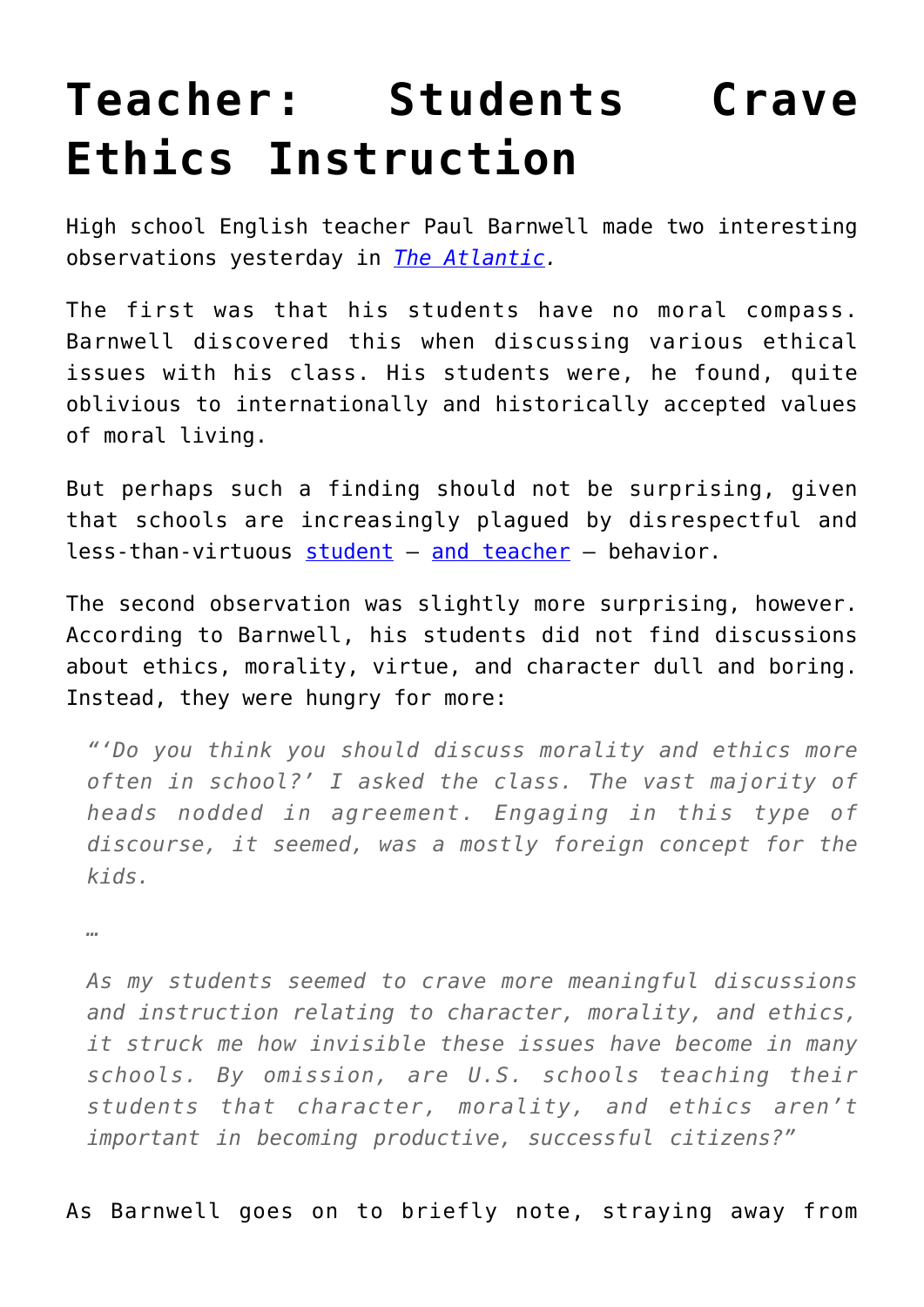## **[Teacher: Students Crave](https://intellectualtakeout.org/2016/07/teacher-students-crave-ethics-instruction/) [Ethics Instruction](https://intellectualtakeout.org/2016/07/teacher-students-crave-ethics-instruction/)**

High school English teacher Paul Barnwell made two interesting observations yesterday in *[The Atlantic](http://www.theatlantic.com/education/archive/2016/07/students-broken-moral-compasses/492866/?utm_source=feed).*

The first was that his students have no moral compass. Barnwell discovered this when discussing various ethical issues with his class. His students were, he found, quite oblivious to internationally and historically accepted values of moral living.

But perhaps such a finding should not be surprising, given that schools are increasingly plagued by disrespectful and less-than-virtuous [student](https://www.intellectualtakeout.org/blog/minnesota-teacher-we%E2%80%99re-powerless-discipline) – [and teacher](https://www.intellectualtakeout.org/blog/why-are-so-many-female-teachers-sleeping-students) – behavior.

The second observation was slightly more surprising, however. According to Barnwell, his students did not find discussions about ethics, morality, virtue, and character dull and boring. Instead, they were hungry for more:

*"'Do you think you should discuss morality and ethics more often in school?' I asked the class. The vast majority of heads nodded in agreement. Engaging in this type of discourse, it seemed, was a mostly foreign concept for the kids.* 

*…*

*As my students seemed to crave more meaningful discussions and instruction relating to character, morality, and ethics, it struck me how invisible these issues have become in many schools. By omission, are U.S. schools teaching their students that character, morality, and ethics aren't important in becoming productive, successful citizens?"*

As Barnwell goes on to briefly note, straying away from